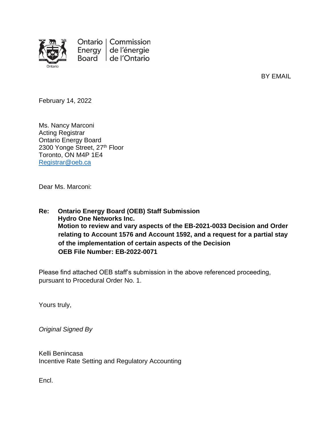

Ontario | Commission Energy de l'énergie Board de l'Ontario

BY EMAIL

February 14, 2022

Ms. Nancy Marconi Acting Registrar Ontario Energy Board 2300 Yonge Street, 27th Floor Toronto, ON M4P 1E4 [Registrar@oeb.ca](mailto:Registrar@oeb.ca)

Dear Ms. Marconi:

**Re: Ontario Energy Board (OEB) Staff Submission Hydro One Networks Inc. Motion to review and vary aspects of the EB-2021-0033 Decision and Order relating to Account 1576 and Account 1592, and a request for a partial stay of the implementation of certain aspects of the Decision OEB File Number: EB-2022-0071**

Please find attached OEB staff's submission in the above referenced proceeding, pursuant to Procedural Order No. 1.

Yours truly,

*Original Signed By*

Kelli Benincasa Incentive Rate Setting and Regulatory Accounting

Encl.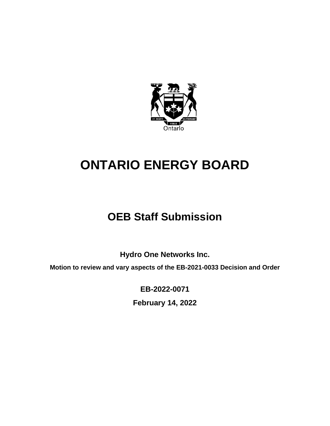

# **ONTARIO ENERGY BOARD**

# **OEB Staff Submission**

**Hydro One Networks Inc.**

**Motion to review and vary aspects of the EB-2021-0033 Decision and Order**

**EB-2022-0071**

**February 14, 2022**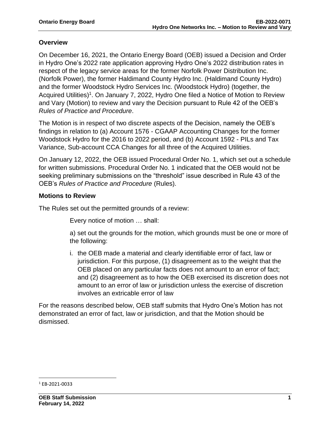#### **Overview**

On December 16, 2021, the Ontario Energy Board (OEB) issued a Decision and Order in Hydro One's 2022 rate application approving Hydro One's 2022 distribution rates in respect of the legacy service areas for the former Norfolk Power Distribution Inc. (Norfolk Power), the former Haldimand County Hydro Inc. (Haldimand County Hydro) and the former Woodstock Hydro Services Inc. (Woodstock Hydro) (together, the Acquired Utilities)<sup>1</sup>. On January 7, 2022, Hydro One filed a Notice of Motion to Review and Vary (Motion) to review and vary the Decision pursuant to Rule 42 of the OEB's *Rules of Practice and Procedure*.

The Motion is in respect of two discrete aspects of the Decision, namely the OEB's findings in relation to (a) Account 1576 - CGAAP Accounting Changes for the former Woodstock Hydro for the 2016 to 2022 period, and (b) Account 1592 - PILs and Tax Variance, Sub-account CCA Changes for all three of the Acquired Utilities.

On January 12, 2022, the OEB issued Procedural Order No. 1, which set out a schedule for written submissions. Procedural Order No. 1 indicated that the OEB would not be seeking preliminary submissions on the "threshold" issue described in Rule 43 of the OEB's *Rules of Practice and Procedure* (Rules).

#### **Motions to Review**

The Rules set out the permitted grounds of a review:

Every notice of motion … shall:

a) set out the grounds for the motion, which grounds must be one or more of the following:

i. the OEB made a material and clearly identifiable error of fact, law or jurisdiction. For this purpose, (1) disagreement as to the weight that the OEB placed on any particular facts does not amount to an error of fact; and (2) disagreement as to how the OEB exercised its discretion does not amount to an error of law or jurisdiction unless the exercise of discretion involves an extricable error of law

For the reasons described below, OEB staff submits that Hydro One's Motion has not demonstrated an error of fact, law or jurisdiction, and that the Motion should be dismissed.

<sup>1</sup> EB-2021-0033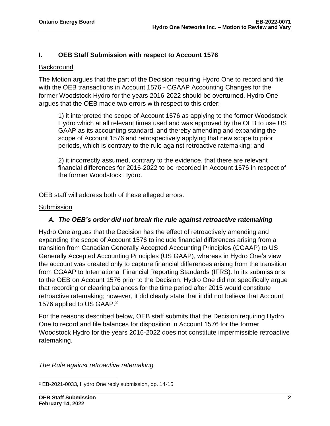#### **I. OEB Staff Submission with respect to Account 1576**

#### Background

The Motion argues that the part of the Decision requiring Hydro One to record and file with the OEB transactions in Account 1576 - CGAAP Accounting Changes for the former Woodstock Hydro for the years 2016-2022 should be overturned. Hydro One argues that the OEB made two errors with respect to this order:

1) it interpreted the scope of Account 1576 as applying to the former Woodstock Hydro which at all relevant times used and was approved by the OEB to use US GAAP as its accounting standard, and thereby amending and expanding the scope of Account 1576 and retrospectively applying that new scope to prior periods, which is contrary to the rule against retroactive ratemaking; and

2) it incorrectly assumed, contrary to the evidence, that there are relevant financial differences for 2016-2022 to be recorded in Account 1576 in respect of the former Woodstock Hydro.

OEB staff will address both of these alleged errors.

#### **Submission**

#### *A. The OEB's order did not break the rule against retroactive ratemaking*

Hydro One argues that the Decision has the effect of retroactively amending and expanding the scope of Account 1576 to include financial differences arising from a transition from Canadian Generally Accepted Accounting Principles (CGAAP) to US Generally Accepted Accounting Principles (US GAAP), whereas in Hydro One's view the account was created only to capture financial differences arising from the transition from CGAAP to International Financial Reporting Standards (IFRS). In its submissions to the OEB on Account 1576 prior to the Decision, Hydro One did not specifically argue that recording or clearing balances for the time period after 2015 would constitute retroactive ratemaking; however, it did clearly state that it did not believe that Account 1576 applied to US GAAP.<sup>2</sup>

For the reasons described below, OEB staff submits that the Decision requiring Hydro One to record and file balances for disposition in Account 1576 for the former Woodstock Hydro for the years 2016-2022 does not constitute impermissible retroactive ratemaking.

*The Rule against retroactive ratemaking*

<sup>2</sup> EB-2021-0033, Hydro One reply submission, pp. 14-15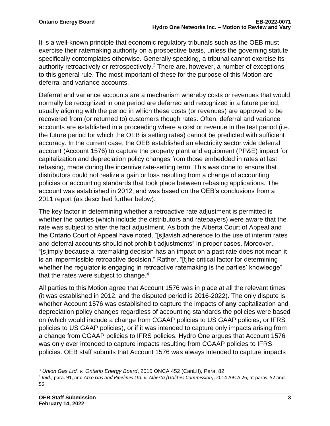It is a well-known principle that economic regulatory tribunals such as the OEB must exercise their ratemaking authority on a prospective basis, unless the governing statute specifically contemplates otherwise. Generally speaking, a tribunal cannot exercise its authority retroactively or retrospectively.<sup>3</sup> There are, however, a number of exceptions to this general rule. The most important of these for the purpose of this Motion are deferral and variance accounts.

Deferral and variance accounts are a mechanism whereby costs or revenues that would normally be recognized in one period are deferred and recognized in a future period, usually aligning with the period in which these costs (or revenues) are approved to be recovered from (or returned to) customers though rates. Often, deferral and variance accounts are established in a proceeding where a cost or revenue in the test period (i.e. the future period for which the OEB is setting rates) cannot be predicted with sufficient accuracy. In the current case, the OEB established an electricity sector wide deferral account (Account 1576) to capture the property plant and equipment (PP&E) impact for capitalization and depreciation policy changes from those embedded in rates at last rebasing, made during the incentive rate-setting term. This was done to ensure that distributors could not realize a gain or loss resulting from a change of accounting policies or accounting standards that took place between rebasing applications. The account was established in 2012, and was based on the OEB's conclusions from a 2011 report (as described further below).

The key factor in determining whether a retroactive rate adjustment is permitted is whether the parties (which include the distributors and ratepayers) were aware that the rate was subject to after the fact adjustment. As both the Alberta Court of Appeal and the Ontario Court of Appeal have noted, "[s]lavish adherence to the use of interim rates and deferral accounts should not prohibit adjustments" in proper cases. Moreover, "[s]imply because a ratemaking decision has an impact on a past rate does not mean it is an impermissible retroactive decision." Rather, "[t]he critical factor for determining whether the regulator is engaging in retroactive ratemaking is the parties' knowledge" that the rates were subject to change. $4$ 

All parties to this Motion agree that Account 1576 was in place at all the relevant times (it was established in 2012, and the disputed period is 2016-2022). The only dispute is whether Account 1576 was established to capture the impacts of **any** capitalization and depreciation policy changes regardless of accounting standards the policies were based on (which would include a change from CGAAP policies to US GAAP policies, or IFRS policies to US GAAP policies), or if it was intended to capture only impacts arising from a change from CGAAP policies to IFRS policies. Hydro One argues that Account 1576 was only ever intended to capture impacts resulting from CGAAP policies to IFRS policies. OEB staff submits that Account 1576 was always intended to capture impacts

<sup>3</sup> *Union Gas Ltd. v. Ontario Energy Board*, 2015 ONCA 452 (CanLII), Para. 82

<sup>4</sup> *Ibid*., para. 91, and *Atco Gas and Pipelines Ltd. v. Alberta (Utilities Commission)*, 2014 ABCA 26, at paras. 52 and 56.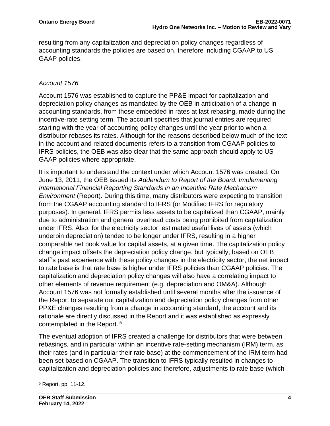resulting from any capitalization and depreciation policy changes regardless of accounting standards the policies are based on, therefore including CGAAP to US GAAP policies.

### *Account 1576*

Account 1576 was established to capture the PP&E impact for capitalization and depreciation policy changes as mandated by the OEB in anticipation of a change in accounting standards, from those embedded in rates at last rebasing, made during the incentive-rate setting term. The account specifies that journal entries are required starting with the year of accounting policy changes until the year prior to when a distributor rebases its rates. Although for the reasons described below much of the text in the account and related documents refers to a transition from CGAAP policies to IFRS policies, the OEB was also clear that the same approach should apply to US GAAP policies where appropriate.

It is important to understand the context under which Account 1576 was created. On June 13, 2011, the OEB issued its *Addendum to Report of the Board: Implementing International Financial Reporting Standards in an Incentive Rate Mechanism Environment* (Report). During this time, many distributors were expecting to transition from the CGAAP accounting standard to IFRS (or Modified IFRS for regulatory purposes). In general, IFRS permits less assets to be capitalized than CGAAP, mainly due to administration and general overhead costs being prohibited from capitalization under IFRS. Also, for the electricity sector, estimated useful lives of assets (which underpin depreciation) tended to be longer under IFRS, resulting in a higher comparable net book value for capital assets, at a given time. The capitalization policy change impact offsets the depreciation policy change, but typically, based on OEB staff's past experience with these policy changes in the electricity sector, the net impact to rate base is that rate base is higher under IFRS policies than CGAAP policies. The capitalization and depreciation policy changes will also have a correlating impact to other elements of revenue requirement (e.g. depreciation and OM&A). Although Account 1576 was not formally established until several months after the issuance of the Report to separate out capitalization and depreciation policy changes from other PP&E changes resulting from a change in accounting standard, the account and its rationale are directly discussed in the Report and it was established as expressly contemplated in the Report. <sup>5</sup>

The eventual adoption of IFRS created a challenge for distributors that were between rebasings, and in particular within an incentive rate-setting mechanism (IRM) term, as their rates (and in particular their rate base) at the commencement of the IRM term had been set based on CGAAP. The transition to IFRS typically resulted in changes to capitalization and depreciation policies and therefore, adjustments to rate base (which

<sup>5</sup> Report, pp. 11-12.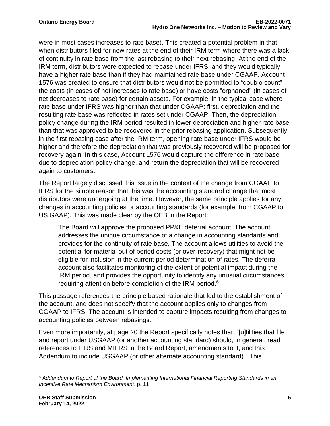were in most cases increases to rate base). This created a potential problem in that when distributors filed for new rates at the end of their IRM term where there was a lack of continuity in rate base from the last rebasing to their next rebasing. At the end of the IRM term, distributors were expected to rebase under IFRS, and they would typically have a higher rate base than if they had maintained rate base under CGAAP. Account 1576 was created to ensure that distributors would not be permitted to "double count" the costs (in cases of net increases to rate base) or have costs "orphaned" (in cases of net decreases to rate base) for certain assets. For example, in the typical case where rate base under IFRS was higher than that under CGAAP: first, depreciation and the resulting rate base was reflected in rates set under CGAAP. Then, the depreciation policy change during the IRM period resulted in lower depreciation and higher rate base than that was approved to be recovered in the prior rebasing application. Subsequently, in the first rebasing case after the IRM term, opening rate base under IFRS would be higher and therefore the depreciation that was previously recovered will be proposed for recovery again. In this case, Account 1576 would capture the difference in rate base due to depreciation policy change, and return the depreciation that will be recovered again to customers.

The Report largely discussed this issue in the context of the change from CGAAP to IFRS for the simple reason that this was the accounting standard change that most distributors were undergoing at the time. However, the same principle applies for any changes in accounting policies or accounting standards (for example, from CGAAP to US GAAP). This was made clear by the OEB in the Report:

The Board will approve the proposed PP&E deferral account. The account addresses the unique circumstance of a change in accounting standards and provides for the continuity of rate base. The account allows utilities to avoid the potential for material out of period costs (or over-recovery) that might not be eligible for inclusion in the current period determination of rates. The deferral account also facilitates monitoring of the extent of potential impact during the IRM period, and provides the opportunity to identify any unusual circumstances requiring attention before completion of the IRM period.<sup>6</sup>

This passage references the principle based rationale that led to the establishment of the account, and does not specify that the account applies only to changes from CGAAP to IFRS. The account is intended to capture impacts resulting from changes to accounting policies between rebasings.

Even more importantly, at page 20 the Report specifically notes that: "[u]tilities that file and report under USGAAP (or another accounting standard) should, in general, read references to IFRS and MIFRS in the Board Report, amendments to it, and this Addendum to include USGAAP (or other alternate accounting standard)." This

<sup>6</sup> *Addendum to Report of the Board: Implementing International Financial Reporting Standards in an Incentive Rate Mechanism Environment*, p. 11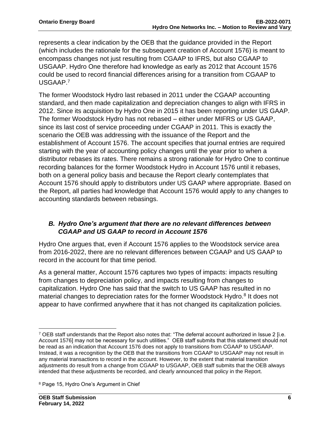represents a clear indication by the OEB that the guidance provided in the Report (which includes the rationale for the subsequent creation of Account 1576) is meant to encompass changes not just resulting from CGAAP to IFRS, but also CGAAP to USGAAP. Hydro One therefore had knowledge as early as 2012 that Account 1576 could be used to record financial differences arising for a transition from CGAAP to USGAAP.<sup>7</sup>

The former Woodstock Hydro last rebased in 2011 under the CGAAP accounting standard, and then made capitalization and depreciation changes to align with IFRS in 2012. Since its acquisition by Hydro One in 2015 it has been reporting under US GAAP. The former Woodstock Hydro has not rebased – either under MIFRS or US GAAP, since its last cost of service proceeding under CGAAP in 2011. This is exactly the scenario the OEB was addressing with the issuance of the Report and the establishment of Account 1576. The account specifies that journal entries are required starting with the year of accounting policy changes until the year prior to when a distributor rebases its rates. There remains a strong rationale for Hydro One to continue recording balances for the former Woodstock Hydro in Account 1576 until it rebases, both on a general policy basis and because the Report clearly contemplates that Account 1576 should apply to distributors under US GAAP where appropriate. Based on the Report, all parties had knowledge that Account 1576 would apply to any changes to accounting standards between rebasings.

# *B. Hydro One's argument that there are no relevant differences between CGAAP and US GAAP to record in Account 1576*

Hydro One argues that, even if Account 1576 applies to the Woodstock service area from 2016-2022, there are no relevant differences between CGAAP and US GAAP to record in the account for that time period.

As a general matter, Account 1576 captures two types of impacts: impacts resulting from changes to depreciation policy, and impacts resulting from changes to capitalization. Hydro One has said that the switch to US GAAP has resulted in no material changes to depreciation rates for the former Woodstock Hydro.<sup>8</sup> It does not appear to have confirmed anywhere that it has not changed its capitalization policies.

<sup>7</sup> OEB staff understands that the Report also notes that: "The deferral account authorized in Issue 2 [i.e. Account 1576] may not be necessary for such utilities." OEB staff submits that this statement should not be read as an indication that Account 1576 does not apply to transitions from CGAAP to USGAAP. Instead, it was a recognition by the OEB that the transitions from CGAAP to USGAAP may not result in any material transactions to record in the account. However, to the extent that material transition adjustments do result from a change from CGAAP to USGAAP, OEB staff submits that the OEB always intended that these adjustments be recorded, and clearly announced that policy in the Report.

<sup>8</sup> Page 15, Hydro One's Argument in Chief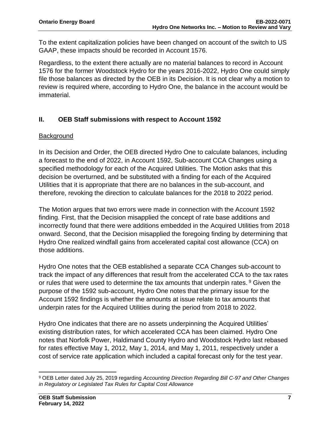To the extent capitalization policies have been changed on account of the switch to US GAAP, these impacts should be recorded in Account 1576.

Regardless, to the extent there actually are no material balances to record in Account 1576 for the former Woodstock Hydro for the years 2016-2022, Hydro One could simply file those balances as directed by the OEB in its Decision. It is not clear why a motion to review is required where, according to Hydro One, the balance in the account would be immaterial.

# **II. OEB Staff submissions with respect to Account 1592**

#### **Background**

In its Decision and Order, the OEB directed Hydro One to calculate balances, including a forecast to the end of 2022, in Account 1592, Sub-account CCA Changes using a specified methodology for each of the Acquired Utilities. The Motion asks that this decision be overturned, and be substituted with a finding for each of the Acquired Utilities that it is appropriate that there are no balances in the sub-account, and therefore, revoking the direction to calculate balances for the 2018 to 2022 period.

The Motion argues that two errors were made in connection with the Account 1592 finding. First, that the Decision misapplied the concept of rate base additions and incorrectly found that there were additions embedded in the Acquired Utilities from 2018 onward. Second, that the Decision misapplied the foregoing finding by determining that Hydro One realized windfall gains from accelerated capital cost allowance (CCA) on those additions.

Hydro One notes that the OEB established a separate CCA Changes sub-account to track the impact of any differences that result from the accelerated CCA to the tax rates or rules that were used to determine the tax amounts that underpin rates.  $9$  Given the purpose of the 1592 sub-account, Hydro One notes that the primary issue for the Account 1592 findings is whether the amounts at issue relate to tax amounts that underpin rates for the Acquired Utilities during the period from 2018 to 2022.

Hydro One indicates that there are no assets underpinning the Acquired Utilities' existing distribution rates, for which accelerated CCA has been claimed. Hydro One notes that Norfolk Power, Haldimand County Hydro and Woodstock Hydro last rebased for rates effective May 1, 2012, May 1, 2014, and May 1, 2011, respectively under a cost of service rate application which included a capital forecast only for the test year.

<sup>9</sup> OEB Letter dated July 25, 2019 regarding *Accounting Direction Regarding Bill C-97 and Other Changes in Regulatory or Legislated Tax Rules for Capital Cost Allowance*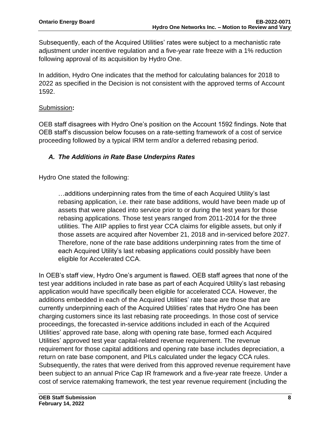Subsequently, each of the Acquired Utilities' rates were subject to a mechanistic rate adjustment under incentive regulation and a five-year rate freeze with a 1% reduction following approval of its acquisition by Hydro One.

In addition, Hydro One indicates that the method for calculating balances for 2018 to 2022 as specified in the Decision is not consistent with the approved terms of Account 1592.

#### Submission**:**

OEB staff disagrees with Hydro One's position on the Account 1592 findings. Note that OEB staff's discussion below focuses on a rate-setting framework of a cost of service proceeding followed by a typical IRM term and/or a deferred rebasing period.

# *A. The Additions in Rate Base Underpins Rates*

Hydro One stated the following:

…additions underpinning rates from the time of each Acquired Utility's last rebasing application, i.e. their rate base additions, would have been made up of assets that were placed into service prior to or during the test years for those rebasing applications. Those test years ranged from 2011-2014 for the three utilities. The AIIP applies to first year CCA claims for eligible assets, but only if those assets are acquired after November 21, 2018 and in-serviced before 2027. Therefore, none of the rate base additions underpinning rates from the time of each Acquired Utility's last rebasing applications could possibly have been eligible for Accelerated CCA.

In OEB's staff view, Hydro One's argument is flawed. OEB staff agrees that none of the test year additions included in rate base as part of each Acquired Utility's last rebasing application would have specifically been eligible for accelerated CCA. However, the additions embedded in each of the Acquired Utilities' rate base are those that are currently underpinning each of the Acquired Utilities' rates that Hydro One has been charging customers since its last rebasing rate proceedings. In those cost of service proceedings, the forecasted in-service additions included in each of the Acquired Utilities' approved rate base, along with opening rate base, formed each Acquired Utilities' approved test year capital-related revenue requirement. The revenue requirement for those capital additions and opening rate base includes depreciation, a return on rate base component, and PILs calculated under the legacy CCA rules. Subsequently, the rates that were derived from this approved revenue requirement have been subject to an annual Price Cap IR framework and a five-year rate freeze. Under a cost of service ratemaking framework, the test year revenue requirement (including the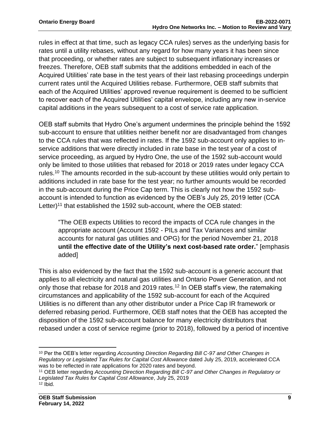rules in effect at that time, such as legacy CCA rules) serves as the underlying basis for rates until a utility rebases, without any regard for how many years it has been since that proceeding, or whether rates are subject to subsequent inflationary increases or freezes. Therefore, OEB staff submits that the additions embedded in each of the Acquired Utilities' rate base in the test years of their last rebasing proceedings underpin current rates until the Acquired Utilities rebase. Furthermore, OEB staff submits that each of the Acquired Utilities' approved revenue requirement is deemed to be sufficient to recover each of the Acquired Utilities' capital envelope, including any new in-service capital additions in the years subsequent to a cost of service rate application.

OEB staff submits that Hydro One's argument undermines the principle behind the 1592 sub-account to ensure that utilities neither benefit nor are disadvantaged from changes to the CCA rules that was reflected in rates. If the 1592 sub-account only applies to inservice additions that were directly included in rate base in the test year of a cost of service proceeding, as argued by Hydro One, the use of the 1592 sub-account would only be limited to those utilities that rebased for 2018 or 2019 rates under legacy CCA rules.<sup>10</sup> The amounts recorded in the sub-account by these utilities would only pertain to additions included in rate base for the test year; no further amounts would be recorded in the sub-account during the Price Cap term. This is clearly not how the 1592 subaccount is intended to function as evidenced by the OEB's July 25, 2019 letter (CCA Letter)<sup>11</sup> that established the 1592 sub-account, where the OEB stated:

"The OEB expects Utilities to record the impacts of CCA rule changes in the appropriate account (Account 1592 - PILs and Tax Variances and similar accounts for natural gas utilities and OPG) for the period November 21, 2018 **until the effective date of the Utility's next cost-based rate order.**" [emphasis added]

This is also evidenced by the fact that the 1592 sub-account is a generic account that applies to all electricity and natural gas utilities and Ontario Power Generation, and not only those that rebase for 2018 and 2019 rates.<sup>12</sup> In OEB staff's view, the ratemaking circumstances and applicability of the 1592 sub-account for each of the Acquired Utilities is no different than any other distributor under a Price Cap IR framework or deferred rebasing period. Furthermore, OEB staff notes that the OEB has accepted the disposition of the 1592 sub-account balance for many electricity distributors that rebased under a cost of service regime (prior to 2018), followed by a period of incentive

<sup>10</sup> Per the OEB's letter regarding *Accounting Direction Regarding Bill C-97 and Other Changes in Regulatory or Legislated Tax Rules for Capital Cost Allowance* dated July 25, 2019, accelerated CCA was to be reflected in rate applications for 2020 rates and beyond.

<sup>11</sup> OEB letter regarding *Accounting Direction Regarding Bill C-97 and Other Changes in Regulatory or Legislated Tax Rules for Capital Cost Allowance*, July 25, 2019  $12$  Ibid.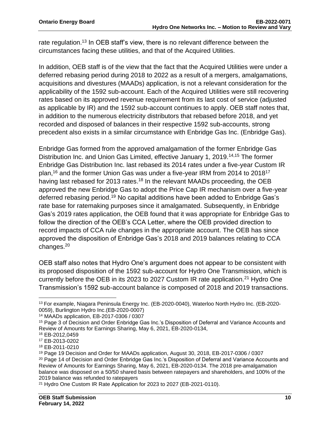rate regulation.<sup>13</sup> In OEB staff's view, there is no relevant difference between the circumstances facing these utilities, and that of the Acquired Utilities.

In addition, OEB staff is of the view that the fact that the Acquired Utilities were under a deferred rebasing period during 2018 to 2022 as a result of a mergers, amalgamations, acquisitions and divestures (MAADs) application, is not a relevant consideration for the applicability of the 1592 sub-account. Each of the Acquired Utilities were still recovering rates based on its approved revenue requirement from its last cost of service (adjusted as applicable by IR) and the 1592 sub-account continues to apply. OEB staff notes that, in addition to the numerous electricity distributors that rebased before 2018, and yet recorded and disposed of balances in their respective 1592 sub-accounts, strong precedent also exists in a similar circumstance with Enbridge Gas Inc. (Enbridge Gas).

Enbridge Gas formed from the approved amalgamation of the former Enbridge Gas Distribution Inc. and Union Gas Limited, effective January 1, 2019.<sup>14,15</sup> The former Enbridge Gas Distribution Inc. last rebased its 2014 rates under a five-year Custom IR plan,<sup>16</sup> and the former Union Gas was under a five-year IRM from 2014 to 2018<sup>17</sup> having last rebased for 2013 rates.<sup>18</sup> In the relevant MAADs proceeding, the OEB approved the new Enbridge Gas to adopt the Price Cap IR mechanism over a five-year deferred rebasing period.<sup>19</sup> No capital additions have been added to Enbridge Gas's rate base for ratemaking purposes since it amalgamated. Subsequently, in Enbridge Gas's 2019 rates application, the OEB found that it was appropriate for Enbridge Gas to follow the direction of the OEB's CCA Letter, where the OEB provided direction to record impacts of CCA rule changes in the appropriate account. The OEB has since approved the disposition of Enbridge Gas's 2018 and 2019 balances relating to CCA changes.<sup>20</sup>

OEB staff also notes that Hydro One's argument does not appear to be consistent with its proposed disposition of the 1592 sub-account for Hydro One Transmission, which is currently before the OEB in its 2023 to 2027 Custom IR rate application.<sup>21</sup> Hydro One Transmission's 1592 sub-account balance is composed of 2018 and 2019 transactions.

<sup>13</sup> For example, Niagara Peninsula Energy Inc. (EB-2020-0040), Waterloo North Hydro Inc. (EB-2020- 0059), Burlington Hydro Inc.(EB-2020-0007)

<sup>14</sup> MAADs application, EB-2017-0306 / 0307

<sup>15</sup> Page 3 of Decision and Order Enbridge Gas Inc.'s Disposition of Deferral and Variance Accounts and Review of Amounts for Earnings Sharing, May 6, 2021, EB-2020-0134,

<sup>16</sup> EB-2012,0459

<sup>17</sup> EB-2013-0202

<sup>18</sup> EB-2011-0210

<sup>19</sup> Page 19 Decision and Order for MAADs application, August 30, 2018, EB-2017-0306 / 0307 <sup>20</sup> Page 14 of Decision and Order Enbridge Gas Inc.'s Disposition of Deferral and Variance Accounts and Review of Amounts for Earnings Sharing, May 6, 2021, EB-2020-0134. The 2018 pre-amalgamation balance was disposed on a 50/50 shared basis between ratepayers and shareholders, and 100% of the 2019 balance was refunded to ratepayers

<sup>21</sup> Hydro One Custom IR Rate Application for 2023 to 2027 (EB-2021-0110).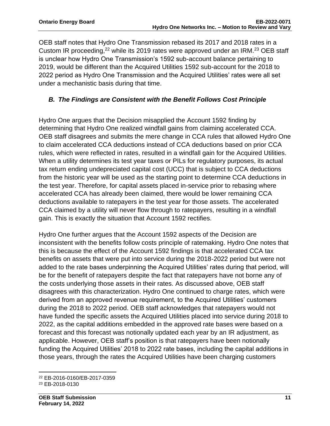OEB staff notes that Hydro One Transmission rebased its 2017 and 2018 rates in a Custom IR proceeding,<sup>22</sup> while its 2019 rates were approved under an IRM.<sup>23</sup> OEB staff is unclear how Hydro One Transmission's 1592 sub-account balance pertaining to 2019, would be different than the Acquired Utilities 1592 sub-account for the 2018 to 2022 period as Hydro One Transmission and the Acquired Utilities' rates were all set under a mechanistic basis during that time.

# *B. The Findings are Consistent with the Benefit Follows Cost Principle*

Hydro One argues that the Decision misapplied the Account 1592 finding by determining that Hydro One realized windfall gains from claiming accelerated CCA. OEB staff disagrees and submits the mere change in CCA rules that allowed Hydro One to claim accelerated CCA deductions instead of CCA deductions based on prior CCA rules, which were reflected in rates, resulted in a windfall gain for the Acquired Utilities. When a utility determines its test year taxes or PILs for regulatory purposes, its actual tax return ending undepreciated capital cost (UCC) that is subject to CCA deductions from the historic year will be used as the starting point to determine CCA deductions in the test year. Therefore, for capital assets placed in-service prior to rebasing where accelerated CCA has already been claimed, there would be lower remaining CCA deductions available to ratepayers in the test year for those assets. The accelerated CCA claimed by a utility will never flow through to ratepayers, resulting in a windfall gain. This is exactly the situation that Account 1592 rectifies.

Hydro One further argues that the Account 1592 aspects of the Decision are inconsistent with the benefits follow costs principle of ratemaking. Hydro One notes that this is because the effect of the Account 1592 findings is that accelerated CCA tax benefits on assets that were put into service during the 2018-2022 period but were not added to the rate bases underpinning the Acquired Utilities' rates during that period, will be for the benefit of ratepayers despite the fact that ratepayers have not borne any of the costs underlying those assets in their rates. As discussed above, OEB staff disagrees with this characterization. Hydro One continued to charge rates, which were derived from an approved revenue requirement, to the Acquired Utilities' customers during the 2018 to 2022 period. OEB staff acknowledges that ratepayers would not have funded the specific assets the Acquired Utilities placed into service during 2018 to 2022, as the capital additions embedded in the approved rate bases were based on a forecast and this forecast was notionally updated each year by an IR adjustment, as applicable. However, OEB staff's position is that ratepayers have been notionally funding the Acquired Utilities' 2018 to 2022 rate bases, including the capital additions in those years, through the rates the Acquired Utilities have been charging customers

<sup>22</sup> EB-2016-0160/EB-2017-0359

<sup>23</sup> EB-2018-0130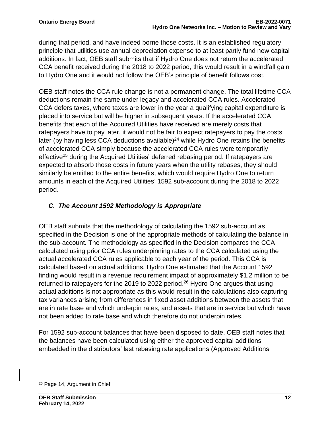during that period, and have indeed borne those costs. It is an established regulatory principle that utilities use annual depreciation expense to at least partly fund new capital additions. In fact, OEB staff submits that if Hydro One does not return the accelerated CCA benefit received during the 2018 to 2022 period, this would result in a windfall gain to Hydro One and it would not follow the OEB's principle of benefit follows cost.

OEB staff notes the CCA rule change is not a permanent change. The total lifetime CCA deductions remain the same under legacy and accelerated CCA rules. Accelerated CCA defers taxes, where taxes are lower in the year a qualifying capital expenditure is placed into service but will be higher in subsequent years. If the accelerated CCA benefits that each of the Acquired Utilities have received are merely costs that ratepayers have to pay later, it would not be fair to expect ratepayers to pay the costs later (by having less CCA deductions available)<sup>24</sup> while Hydro One retains the benefits of accelerated CCA simply because the accelerated CCA rules were temporarily effective<sup>25</sup> during the Acquired Utilities' deferred rebasing period. If ratepayers are expected to absorb those costs in future years when the utility rebases, they should similarly be entitled to the entire benefits, which would require Hydro One to return amounts in each of the Acquired Utilities' 1592 sub-account during the 2018 to 2022 period.

# *C. The Account 1592 Methodology is Appropriate*

OEB staff submits that the methodology of calculating the 1592 sub-account as specified in the Decision is one of the appropriate methods of calculating the balance in the sub-account. The methodology as specified in the Decision compares the CCA calculated using prior CCA rules underpinning rates to the CCA calculated using the actual accelerated CCA rules applicable to each year of the period. This CCA is calculated based on actual additions. Hydro One estimated that the Account 1592 finding would result in a revenue requirement impact of approximately \$1.2 million to be returned to ratepayers for the 2019 to 2022 period.<sup>26</sup> Hydro One argues that using actual additions is not appropriate as this would result in the calculations also capturing tax variances arising from differences in fixed asset additions between the assets that are in rate base and which underpin rates, and assets that are in service but which have not been added to rate base and which therefore do not underpin rates.

For 1592 sub-account balances that have been disposed to date, OEB staff notes that the balances have been calculated using either the approved capital additions embedded in the distributors' last rebasing rate applications (Approved Additions

<sup>26</sup> Page 14, Argument in Chief